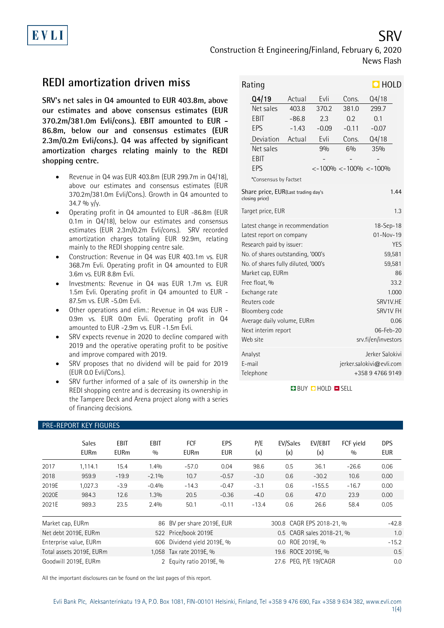Construction & Engineering/Finland, February 6, 2020 News Flash

# **REDI amortization driven miss**

**SRV's net sales in Q4 amounted to EUR 403.8m, above our estimates and above consensus estimates (EUR 370.2m/381.0m Evli/cons.). EBIT amounted to EUR - 86.8m, below our and consensus estimates (EUR 2.3m/0.2m Evli/cons.). Q4 was affected by significant amortization charges relating mainly to the REDI shopping centre.**

- Revenue in Q4 was EUR 403.8m (EUR 299.7m in Q4/18), above our estimates and consensus estimates (EUR 370.2m/381.0m Evli/Cons.). Growth in Q4 amounted to  $34.7 \%$  y/y.
- Operating profit in Q4 amounted to EUR -86.8m (EUR 0.1m in Q4/18), below our estimates and consensus estimates (EUR 2.3m/0.2m Evli/cons.). SRV recorded amortization charges totaling EUR 92.9m, relating mainly to the REDI shopping centre sale.
- Construction: Revenue in Q4 was EUR 403.1m vs. EUR 368.7m Evli. Operating profit in Q4 amounted to EUR 3.6m vs. EUR 8.8m Evli.
- Investments: Revenue in Q4 was EUR 1.7m vs. EUR 1.5m Evli. Operating profit in Q4 amounted to EUR - 87.5m vs. EUR -5.0m Evli.
- Other operations and elim.: Revenue in Q4 was EUR 0.9m vs. EUR 0.0m Evli. Operating profit in Q4 amounted to EUR -2.9m vs. EUR -1.5m Evli.
- SRV expects revenue in 2020 to decline compared with 2019 and the operative operating profit to be positive and improve compared with 2019.
- SRV proposes that no dividend will be paid for 2019 (EUR 0.0 Evli/Cons.).
- SRV further informed of a sale of its ownership in the REDI shopping centre and is decreasing its ownership in the Tampere Deck and Arena project along with a series of financing decisions.

| $\Box$ HOLD<br>Rating                                                                  |                                                                                                                                                                                                                                                                                                                              |                                                 |                                                                                                                                                                 |                                                                                                    |                                                  |  |
|----------------------------------------------------------------------------------------|------------------------------------------------------------------------------------------------------------------------------------------------------------------------------------------------------------------------------------------------------------------------------------------------------------------------------|-------------------------------------------------|-----------------------------------------------------------------------------------------------------------------------------------------------------------------|----------------------------------------------------------------------------------------------------|--------------------------------------------------|--|
|                                                                                        | Q4/19<br>Net sales<br>EBIT<br>EPS<br>Deviation<br>Net sales<br>EBIT<br>EPS                                                                                                                                                                                                                                                   | Actual<br>403.8<br>$-86.8$<br>$-1.43$<br>Actual | Evli<br>370.2<br>2.3<br>$-0.09$<br>Evli<br>90/0                                                                                                                 | Cons.<br>381.0<br>0.2<br>$-0.11$<br>Cons.<br>6%<br>$\langle$ -100% $\langle$ -100% $\langle$ -100% | Q4/18<br>299.7<br>0.1<br>$-0.07$<br>Q4/18<br>35% |  |
| *Consensus by Factset<br>1.44<br>Share price, EUR(Last trading day's<br>closing price) |                                                                                                                                                                                                                                                                                                                              |                                                 |                                                                                                                                                                 |                                                                                                    |                                                  |  |
| 1.3<br>Target price, EUR                                                               |                                                                                                                                                                                                                                                                                                                              |                                                 |                                                                                                                                                                 |                                                                                                    |                                                  |  |
|                                                                                        | Latest change in recommendation<br>Latest report on company<br>Research paid by issuer:<br>No. of shares outstanding, '000's<br>No. of shares fully diluted, '000's<br>Market cap, EURm<br>Free float, %<br>Exchange rate<br>Reuters code<br>Bloomberg code<br>Average daily volume, EURm<br>Next interim report<br>Web site |                                                 | 18-Sep-18<br>$01 - Nov - 19$<br><b>YES</b><br>59,581<br>59,581<br>86<br>33.2<br>1.000<br>SRV1V.HE<br>SRV1V FH<br>0.06<br>$06 - Feb - 20$<br>srv.fi/en/investors |                                                                                                    |                                                  |  |
|                                                                                        | Analyst<br>F-mail<br>Telephone                                                                                                                                                                                                                                                                                               |                                                 | Jerker Salokivi<br>jerker.salokivi@evli.com<br>+358947669149                                                                                                    |                                                                                                    |                                                  |  |

**BUY DHOLD DISELL** 

| <b>PRE-REPORT KEY FIGURES</b> |                             |                            |                    |                            |                   |                           |                           |                |                  |                   |
|-------------------------------|-----------------------------|----------------------------|--------------------|----------------------------|-------------------|---------------------------|---------------------------|----------------|------------------|-------------------|
|                               | <b>Sales</b><br><b>EURm</b> | <b>EBIT</b><br><b>EURm</b> | <b>EBIT</b><br>0/0 | <b>FCF</b><br><b>EURm</b>  | EPS<br><b>EUR</b> | P/E<br>(x)                | EV/Sales<br>(x)           | EV/EBIT<br>(x) | FCF vield<br>0/0 | <b>DPS</b><br>EUR |
| 2017                          | 1,114.1                     | 15.4                       | 1.4%               | $-57.0$                    | 0.04              | 98.6                      | 0.5                       | 36.1           | $-26.6$          | 0.06              |
| 2018                          | 959.9                       | $-19.9$                    | $-2.1%$            | 10.7                       | $-0.57$           | $-3.0$                    | 0.6                       | $-30.2$        | 10.6             | 0.00              |
| 2019E                         | 1,027.3                     | $-3.9$                     | $-0.4%$            | $-14.3$                    | $-0.47$           | $-3.1$                    | 0.6                       | $-155.5$       | $-16.7$          | 0.00              |
| 2020E                         | 984.3                       | 12.6                       | 1.3%               | 20.5                       | $-0.36$           | $-4.0$                    | 0.6                       | 47.0           | 23.9             | 0.00              |
| 2021E                         | 989.3                       | 23.5                       | 2.4%               | 50.1                       | $-0.11$           | $-13.4$                   | 0.6                       | 26.6           | 58.4             | 0.05              |
| Market cap, EURm              |                             |                            |                    | 86 BV per share 2019E, EUR |                   |                           | 300.8 CAGR EPS 2018-21, % |                |                  | $-42.8$           |
| Net debt 2019E, EURm          |                             |                            |                    | 522 Price/book 2019E       |                   | 0.5 CAGR sales 2018-21, % |                           |                | 1.0              |                   |
| Enterprise value, EURm<br>606 |                             |                            |                    | Dividend yield 2019E, %    |                   |                           | 0.0 ROE 2019E, %          |                |                  | $-15.2$           |

Total assets 2019E, EURm 1,058 Tax rate 2019E, % 19.6 ROCE 2019E, % 0.5 Goodwill 2019E, EURm 2019 2 Equity ratio 2019E, % 27.6 PEG, P/E 19/CAGR 0.0

All the important disclosures can be found on the last pages of this report.

### 1(4)

SRV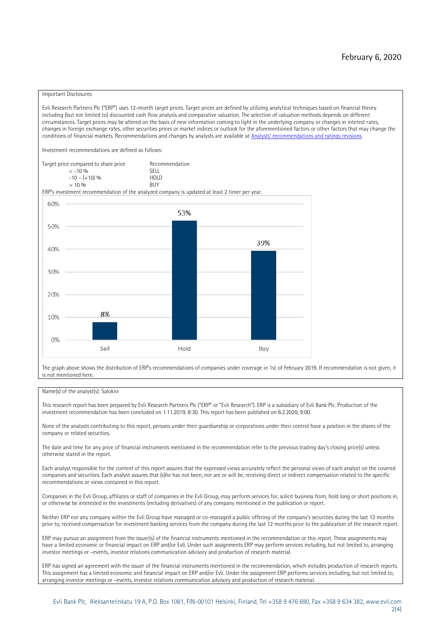#### Important Disclosures

Evli Research Partners Plc ("ERP") uses 12-month target prices. Target prices are defined by utilizing analytical techniques based on financial theory including (but not limited to) discounted cash flow analysis and comparative valuation. The selection of valuation methods depends on different circumstances. Target prices may be altered on the basis of new information coming to light in the underlying company or changes in interest rates, changes in foreign exchange rates, other securities prices or market indices or outlook for the aforementioned factors or other factors that may change the conditions of financial markets. Recommendations and changes by analysts are available at Analysts' recommen[dations and ratings revisions.](https://research.evli.com/JasperAllModels.action?authParam=key;461&authParam=x;G3rNagWrtf7K&authType=3)

Investment recommendations are defined as follows:

| Target price compared to share price | Recommendation                |  |  |  |
|--------------------------------------|-------------------------------|--|--|--|
| $<-10.06$                            | SELL.                         |  |  |  |
| $-10 - (+10)$ %                      | H <sub>O</sub> I <sub>D</sub> |  |  |  |
| $> 10\%$                             | <b>BUY</b>                    |  |  |  |

ERP's investment recommendation of the analyzed company is updated at least 2 timer per year.



The graph above shows the distribution of ERP's recommendations of companies under coverage in 1st of February 2019. If recommendation is not given, it is not mentioned here.

### Name(s) of the analyst(s): Salokivi

This research report has been prepared by Evli Research Partners Plc ("ERP" or "Evli Research"). ERP is a subsidiary of Evli Bank Plc. Production of the investment recommendation has been concluded on 1.11.2019, 8:30. This report has been published on 6.2.2020, 9:00.

None of the analysts contributing to this report, persons under their guardianship or corporations under their control have a position in the shares of the company or related securities.

The date and time for any price of financial instruments mentioned in the recommendation refer to the previous trading day's closing price(s) unless otherwise stated in the report.

Each analyst responsible for the content of this report assures that the expressed views accurately reflect the personal views of each analyst on the covered companies and securities. Each analyst assures that (s)he has not been, nor are or will be, receiving direct or indirect compensation related to the specific recommendations or views contained in this report.

Companies in the Evli Group, affiliates or staff of companies in the Evli Group, may perform services for, solicit business from, hold long or short positions in, or otherwise be interested in the investments (including derivatives) of any company mentioned in the publication or report.

Neither ERP nor any company within the Evli Group have managed or co-managed a public offering of the company's securities during the last 12 months prior to, received compensation for investment banking services from the company during the last 12 months prior to the publication of the research report.

ERP may pursue an assignment from the issuer(s) of the financial instruments mentioned in the recommendation or this report. These assignments may have a limited economic or financial impact on ERP and/or Evli. Under such assignments ERP may perform services including, but not limited to, arranging investor meetings or –events, investor relations communication advisory and production of research material.

ERP has signed an agreement with the issuer of the financial instruments mentioned in the recommendation, which includes production of research reports. This assignment has a limited economic and financial impact on ERP and/or Evli. Under the assignment ERP performs services including, but not limited to, arranging investor meetings or –events, investor relations communication advisory and production of research material.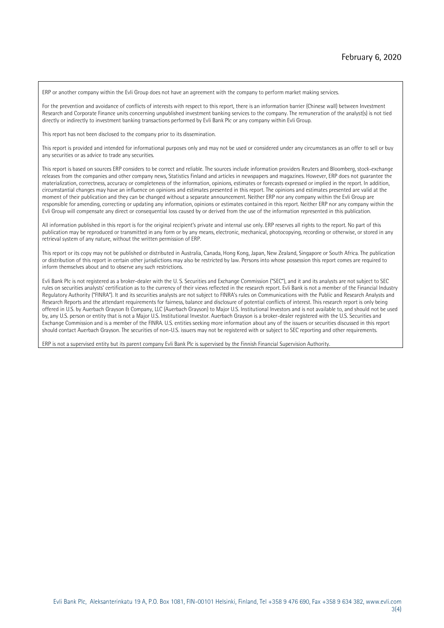ERP or another company within the Evli Group does not have an agreement with the company to perform market making services.

For the prevention and avoidance of conflicts of interests with respect to this report, there is an information barrier (Chinese wall) between Investment Research and Corporate Finance units concerning unpublished investment banking services to the company. The remuneration of the analyst(s) is not tied directly or indirectly to investment banking transactions performed by Evli Bank Plc or any company within Evli Group.

This report has not been disclosed to the company prior to its dissemination.

This report is provided and intended for informational purposes only and may not be used or considered under any circumstances as an offer to sell or buy any securities or as advice to trade any securities.

This report is based on sources ERP considers to be correct and reliable. The sources include information providers Reuters and Bloomberg, stock-exchange releases from the companies and other company news, Statistics Finland and articles in newspapers and magazines. However, ERP does not guarantee the materialization, correctness, accuracy or completeness of the information, opinions, estimates or forecasts expressed or implied in the report. In addition, circumstantial changes may have an influence on opinions and estimates presented in this report. The opinions and estimates presented are valid at the moment of their publication and they can be changed without a separate announcement. Neither ERP nor any company within the Evli Group are responsible for amending, correcting or updating any information, opinions or estimates contained in this report. Neither ERP nor any company within the Evli Group will compensate any direct or consequential loss caused by or derived from the use of the information represented in this publication.

All information published in this report is for the original recipient's private and internal use only. ERP reserves all rights to the report. No part of this publication may be reproduced or transmitted in any form or by any means, electronic, mechanical, photocopying, recording or otherwise, or stored in any retrieval system of any nature, without the written permission of ERP.

This report or its copy may not be published or distributed in Australia, Canada, Hong Kong, Japan, New Zealand, Singapore or South Africa. The publication or distribution of this report in certain other jurisdictions may also be restricted by law. Persons into whose possession this report comes are required to inform themselves about and to observe any such restrictions.

Evli Bank Plc is not registered as a broker-dealer with the U. S. Securities and Exchange Commission ("SEC"), and it and its analysts are not subject to SEC rules on securities analysts' certification as to the currency of their views reflected in the research report. Evli Bank is not a member of the Financial Industry Regulatory Authority ("FINRA"). It and its securities analysts are not subject to FINRA's rules on Communications with the Public and Research Analysts and Research Reports and the attendant requirements for fairness, balance and disclosure of potential conflicts of interest. This research report is only being offered in U.S. by Auerbach Grayson & Company, LLC (Auerbach Grayson) to Major U.S. Institutional Investors and is not available to, and should not be used by, any U.S. person or entity that is not a Major U.S. Institutional Investor. Auerbach Grayson is a broker-dealer registered with the U.S. Securities and Exchange Commission and is a member of the FINRA. U.S. entities seeking more information about any of the issuers or securities discussed in this report should contact Auerbach Grayson. The securities of non-U.S. issuers may not be registered with or subject to SEC reporting and other requirements.

ERP is not a supervised entity but its parent company Evli Bank Plc is supervised by the Finnish Financial Supervision Authority.